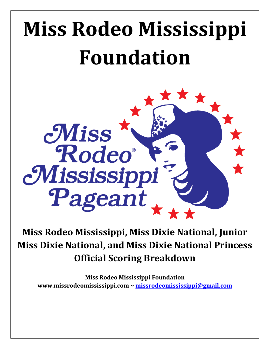# **Miss Rodeo Mississippi Foundation**



**Miss Rodeo Mississippi, Miss Dixie National, Junior Miss Dixie National, and Miss Dixie National Princess Official Scoring Breakdown**

**Miss Rodeo Mississippi Foundation www.missrodeomississippi.com ~ [missrodeomississippi@gmail.com](mailto:missrodeomississippi@gmail.com)**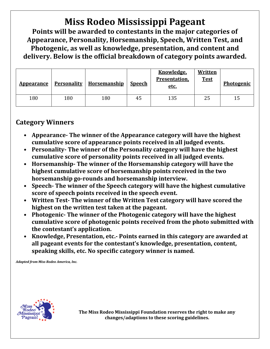## **Miss Rodeo Mississippi Pageant**

**Points will be awarded to contestants in the major categories of Appearance, Personality, Horsemanship, Speech, Written Test, and Photogenic, as well as knowledge, presentation, and content and delivery. Below is the official breakdown of category points awarded.**

| <b>Appearance</b> | <b>Personality</b> | <b>Horsemanship</b> | <b>Speech</b> | <b>Knowledge</b> ,<br>Presentation.<br>etc. | <b>Written</b><br><b>Test</b> | Photogenic |
|-------------------|--------------------|---------------------|---------------|---------------------------------------------|-------------------------------|------------|
| 180               | 180                | 180                 | 45            | 135                                         | 25                            | 15         |

#### **Category Winners**

- **Appearance- The winner of the Appearance category will have the highest cumulative score of appearance points received in all judged events.**
- **Personality- The winner of the Personality category will have the highest cumulative score of personality points received in all judged events.**
- **Horsemanship- The winner of the Horsemanship category will have the highest cumulative score of horsemanship points received in the two horsemanship go-rounds and horsemanship interview.**
- **Speech- The winner of the Speech category will have the highest cumulative score of speech points received in the speech event.**
- **Written Test- The winner of the Written Test category will have scored the highest on the written test taken at the pageant.**
- **Photogenic- The winner of the Photogenic category will have the highest cumulative score of photogenic points received from the photo submitted with the contestant's application.**
- **Knowledge, Presentation, etc.- Points earned in this category are awarded at all pageant events for the contestant's knowledge, presentation, content, speaking skills, etc. No specific category winner is named.**

*Adapted from Miss Rodeo America, Inc.*



**The Miss Rodeo Mississippi Foundation reserves the right to make any changes/adaptions to these scoring guidelines.**